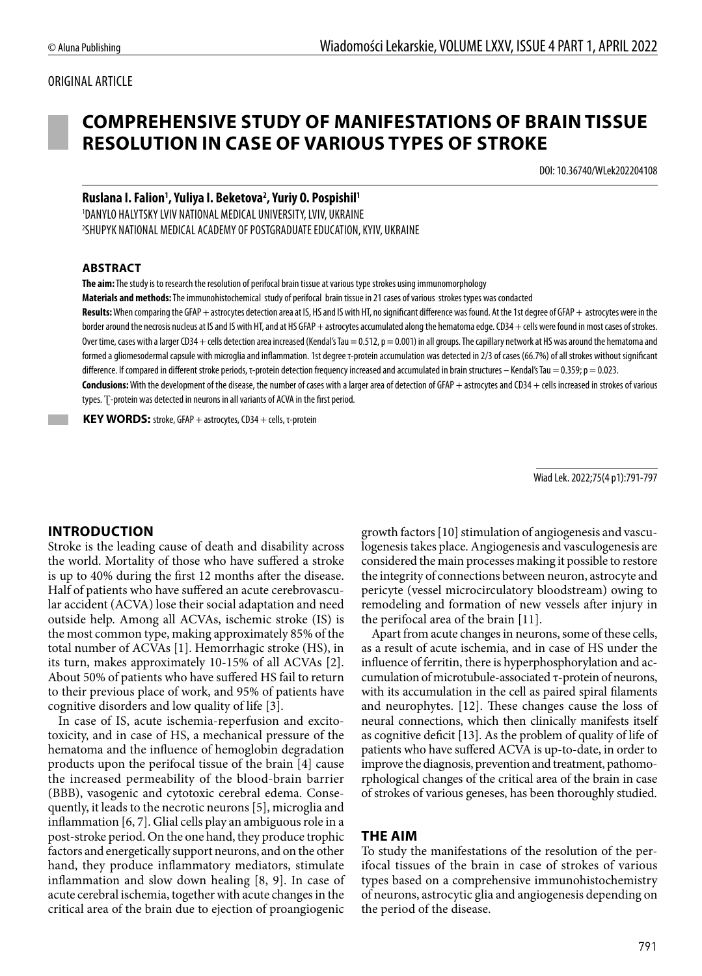#### ORIGINAL ARTICLE

# **COMPREHENSIVE STUDY OF MANIFESTATIONS OF BRAIN TISSUE RESOLUTION IN CASE OF VARIOUS TYPES OF STROKE**

DOI: 10.36740/WLek202204108

#### **Ruslana I. Falion1 , Yuliya I. Beketova2 , Yuriy O. Pospishil1** 1 DANYLO HALYTSKY LVIV NATIONAL MEDICAL UNIVERSITY, LVIV, UKRAINE 2 SHUPYK NATIONAL MEDICAL ACADEMY OF POSTGRADUATE EDUCATION, KYIV, UKRAINE

#### **ABSTRACT**

**The aim:** The study is to research the resolution of perifocal brain tissue at various type strokes using immunomorphology

**Materials and methods:** The immunohistochemical study of perifocal brain tissue in 21 cases of various strokes types was condacted

Results: When comparing the GFAP + astrocytes detection area at IS, HS and IS with HT, no significant difference was found. At the 1st degree of GFAP + astrocytes were in the border around the necrosis nucleus at IS and IS with HT, and at HS GFAP + astrocytes accumulated along the hematoma edge. CD34 + cells were found in most cases of strokes. Over time, cases with a larger CD34 + cells detection area increased (Kendal's Tau = 0.512, p = 0.001) in all groups. The capillary network at HS was around the hematoma and formed a gliomesodermal capsule with microglia and inflammation. 1st degree τ-protein accumulation was detected in 2/3 of cases (66.7%) of all strokes without significant difference. If compared in different stroke periods, τ-protein detection frequency increased and accumulated in brain structures - Kendal's Tau = 0.359; p = 0.023. Conclusions: With the development of the disease, the number of cases with a larger area of detection of GFAP + astrocytes and CD34 + cells increased in strokes of various

types. Ʈ-protein was detected in neurons in all variants of ACVA in the first period.

 **KEY WORDS:** stroke, GFAP + astrocytes, CD34 + cells, τ-protein

Wiad Lek. 2022;75(4 p1):791-797

#### **INTRODUCTION**

Stroke is the leading cause of death and disability across the world. Mortality of those who have suffered a stroke is up to 40% during the first 12 months after the disease. Half of patients who have suffered an acute cerebrovascular accident (ACVA) lose their social adaptation and need outside help. Among all ACVAs, ischemic stroke (IS) is the most common type, making approximately 85% of the total number of ACVAs [1]. Hemorrhagic stroke (HS), in its turn, makes approximately 10-15% of all ACVAs [2]. About 50% of patients who have suffered HS fail to return to their previous place of work, and 95% of patients have cognitive disorders and low quality of life [3].

In case of IS, acute ischemia-reperfusion and excitotoxicity, and in case of HS, a mechanical pressure of the hematoma and the influence of hemoglobin degradation products upon the perifocal tissue of the brain [4] cause the increased permeability of the blood-brain barrier (BBB), vasogenic and cytotoxic cerebral edema. Consequently, it leads to the necrotic neurons [5], microglia and inflammation [6, 7]. Glial cells play an ambiguous role in a post-stroke period. On the one hand, they produce trophic factors and energetically support neurons, and on the other hand, they produce inflammatory mediators, stimulate inflammation and slow down healing [8, 9]. In case of acute cerebral ischemia, together with acute changes in the critical area of the brain due to ejection of proangiogenic growth factors [10] stimulation of angiogenesis and vasculogenesis takes place. Angiogenesis and vasculogenesis are considered the main processes making it possible to restore the integrity of connections between neuron, astrocyte and pericyte (vessel microcirculatory bloodstream) owing to remodeling and formation of new vessels after injury in the perifocal area of the brain [11].

Apart from acute changes in neurons, some of these cells, as a result of acute ischemia, and in case of HS under the influence of ferritin, there is hyperphosphorylation and accumulation of microtubule-associated τ-protein of neurons, with its accumulation in the cell as paired spiral filaments and neurophytes. [12]. These changes cause the loss of neural connections, which then clinically manifests itself as cognitive deficit [13]. As the problem of quality of life of patients who have suffered ACVA is up-to-date, in order to improve the diagnosis, prevention and treatment, pathomorphological changes of the critical area of the brain in case of strokes of various geneses, has been thoroughly studied.

#### **THE AIM**

To study the manifestations of the resolution of the perifocal tissues of the brain in case of strokes of various types based on a comprehensive immunohistochemistry of neurons, astrocytic glia and angiogenesis depending on the period of the disease.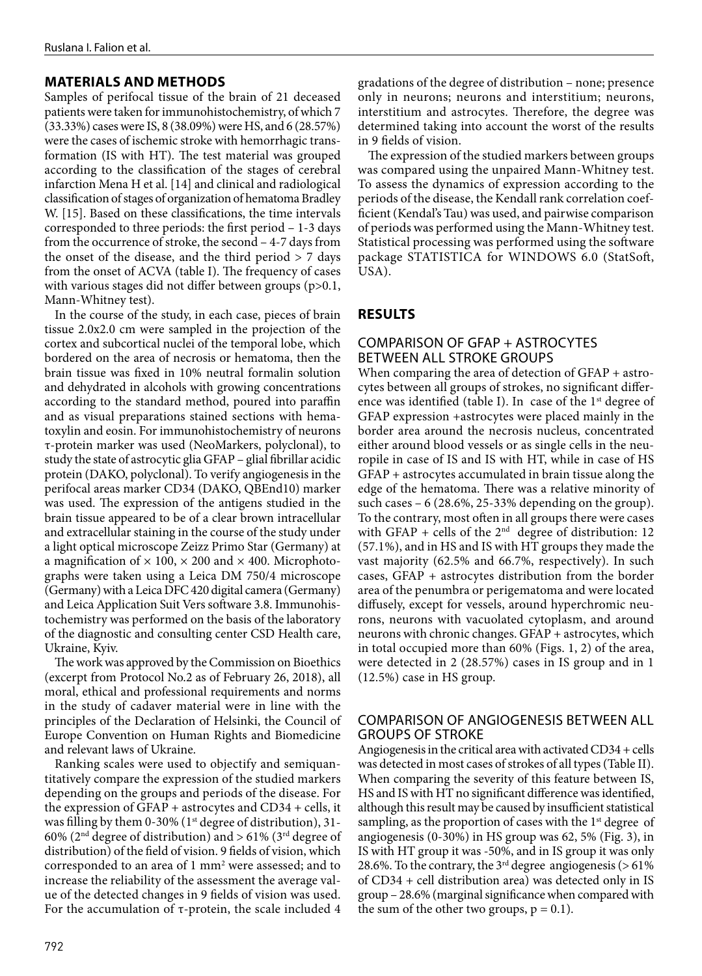## **MATERIALS AND METHODS**

Samples of perifocal tissue of the brain of 21 deceased patients were taken for immunohistochemistry, of which 7 (33.33%) cases were IS, 8 (38.09%) were HS, and 6 (28.57%) were the cases of ischemic stroke with hemorrhagic transformation (IS with HT). The test material was grouped according to the classification of the stages of cerebral infarction Mena H et al. [14] and clinical and radiological classification of stages of organization of hematoma Bradley W. [15]. Based on these classifications, the time intervals corresponded to three periods: the first period – 1-3 days from the occurrence of stroke, the second – 4-7 days from the onset of the disease, and the third period  $> 7$  days from the onset of ACVA (table I). The frequency of cases with various stages did not differ between groups (p>0.1, Mann-Whitney test).

In the course of the study, in each case, pieces of brain tissue 2.0x2.0 cm were sampled in the projection of the cortex and subcortical nuclei of the temporal lobe, which bordered on the area of necrosis or hematoma, then the brain tissue was fixed in 10% neutral formalin solution and dehydrated in alcohols with growing concentrations according to the standard method, poured into paraffin and as visual preparations stained sections with hematoxylin and eosin. For immunohistochemistry of neurons τ-protein marker was used (NeoMarkers, polyclonal), to study the state of astrocytic glia GFAP – glial fibrillar acidic protein (DAKO, polyclonal). To verify angiogenesis in the perifocal areas marker CD34 (DAKO, QBEnd10) marker was used. The expression of the antigens studied in the brain tissue appeared to be of a clear brown intracellular and extracellular staining in the course of the study under a light optical microscope Zeizz Primo Star (Germany) at a magnification of  $\times$  100,  $\times$  200 and  $\times$  400. Microphotographs were taken using a Leica DM 750/4 microscope (Germany) with a Leica DFC 420 digital camera (Germany) and Leica Application Suit Vers software 3.8. Immunohistochemistry was performed on the basis of the laboratory of the diagnostic and consulting center CSD Health care, Ukraine, Kyiv.

The work was approved by the Commission on Bioethics (excerpt from Protocol No.2 as of February 26, 2018), all moral, ethical and professional requirements and norms in the study of cadaver material were in line with the principles of the Declaration of Helsinki, the Council of Europe Convention on Human Rights and Biomedicine and relevant laws of Ukraine.

Ranking scales were used to objectify and semiquantitatively compare the expression of the studied markers depending on the groups and periods of the disease. For the expression of GFAP + astrocytes and CD34 + cells, it was filling by them 0-30% ( $1<sup>st</sup>$  degree of distribution), 31-60% ( $2<sup>nd</sup>$  degree of distribution) and > 61% ( $3<sup>rd</sup>$  degree of distribution) of the field of vision. 9 fields of vision, which corresponded to an area of 1 mm<sup>2</sup> were assessed; and to increase the reliability of the assessment the average value of the detected changes in 9 fields of vision was used. For the accumulation of  $\tau$ -protein, the scale included 4

gradations of the degree of distribution – none; presence only in neurons; neurons and interstitium; neurons, interstitium and astrocytes. Therefore, the degree was determined taking into account the worst of the results in 9 fields of vision.

The expression of the studied markers between groups was compared using the unpaired Mann-Whitney test. To assess the dynamics of expression according to the periods of the disease, the Kendall rank correlation coefficient (Kendal's Tau) was used, and pairwise comparison of periods was performed using the Mann-Whitney test. Statistical processing was performed using the software package STATISTICA for WINDOWS 6.0 (StatSoft, USA).

## **RESULTS**

### COMPARISON OF GFAP + ASTROCYTES BETWEEN ALL STROKE GROUPS

When comparing the area of detection of GFAP + astrocytes between all groups of strokes, no significant difference was identified (table I). In case of the  $1<sup>st</sup>$  degree of GFAP expression +astrocytes were placed mainly in the border area around the necrosis nucleus, concentrated either around blood vessels or as single cells in the neuropile in case of IS and IS with HT, while in case of HS GFAP + astrocytes accumulated in brain tissue along the edge of the hematoma. There was a relative minority of such cases  $-6$  (28.6%, 25-33% depending on the group). To the contrary, most often in all groups there were cases with GFAP + cells of the  $2<sup>nd</sup>$  degree of distribution: 12 (57.1%), and in HS and IS with HT groups they made the vast majority (62.5% and 66.7%, respectively). In such cases, GFAP + astrocytes distribution from the border area of the penumbra or perigematoma and were located diffusely, except for vessels, around hyperchromic neurons, neurons with vacuolated cytoplasm, and around neurons with chronic changes. GFAP + astrocytes, which in total occupied more than 60% (Figs. 1, 2) of the area, were detected in 2 (28.57%) cases in IS group and in 1 (12.5%) case in HS group.

## COMPARISON OF ANGIOGENESIS BETWEEN ALL GROUPS OF STROKE

Angiogenesis in the critical area with activated CD34 + cells was detected in most cases of strokes of all types (Table II). When comparing the severity of this feature between IS, HS and IS with HT no significant difference was identified, although this result may be caused by insufficient statistical sampling, as the proportion of cases with the 1<sup>st</sup> degree of angiogenesis (0-30%) in HS group was 62, 5% (Fig. 3), in IS with HT group it was -50%, and in IS group it was only 28.6%. To the contrary, the  $3<sup>rd</sup>$  degree angiogenesis (> 61%) of CD34 + cell distribution area) was detected only in IS group – 28.6% (marginal significance when compared with the sum of the other two groups,  $p = 0.1$ ).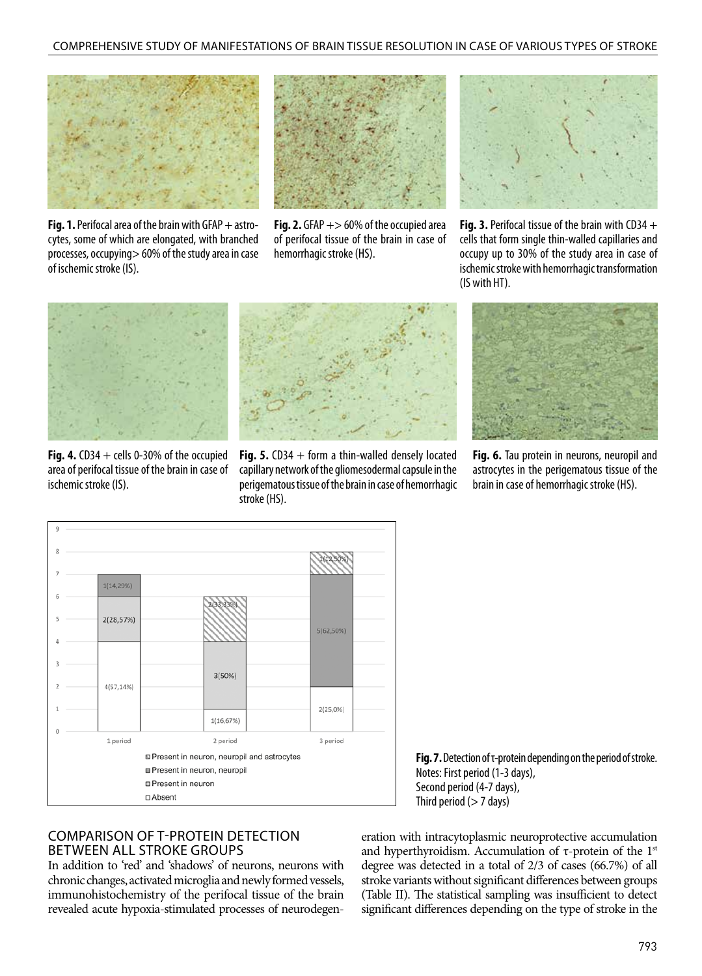

**Fig. 1.** Perifocal area of the brain with GFAP + astrocytes, some of which are elongated, with branched processes, occupying> 60% of the study area in case of ischemic stroke (IS).



**Fig. 2.** GFAP  $+$  > 60% of the occupied area of perifocal tissue of the brain in case of hemorrhagic stroke (HS).



**Fig. 3.** Perifocal tissue of the brain with CD34 + cells that form single thin-walled capillaries and occupy up to 30% of the study area in case of ischemic stroke with hemorrhagic transformation (IS with HT).



**Fig. 4.**  $CD34 + cells 0-30%$  of the occupied area of perifocal tissue of the brain in case of ischemic stroke (IS).



**Fig. 5.** CD34 + form a thin-walled densely located capillary network of the gliomesodermal capsule in the perigematous tissue of the brain in case of hemorrhagic stroke (HS).



**Fig. 6.** Tau protein in neurons, neuropil and astrocytes in the perigematous tissue of the brain in case of hemorrhagic stroke (HS).



## COMPARISON OF Τ-PROTEIN DETECTION BETWEEN ALL STROKE GROUPS

In addition to 'red' and 'shadows' of neurons, neurons with chronic changes, activated microglia and newly formed vessels, immunohistochemistry of the perifocal tissue of the brain revealed acute hypoxia-stimulated processes of neurodegen-

**Fig. 7.** Detection of τ-protein depending on the period of stroke. Notes: First period (1-3 days), Second period (4-7 days), Third period  $($  > 7 days)

eration with intracytoplasmic neuroprotective accumulation and hyperthyroidism. Accumulation of τ-protein of the  $1<sup>st</sup>$ degree was detected in a total of 2/3 of cases (66.7%) of all stroke variants without significant differences between groups (Table II). The statistical sampling was insufficient to detect significant differences depending on the type of stroke in the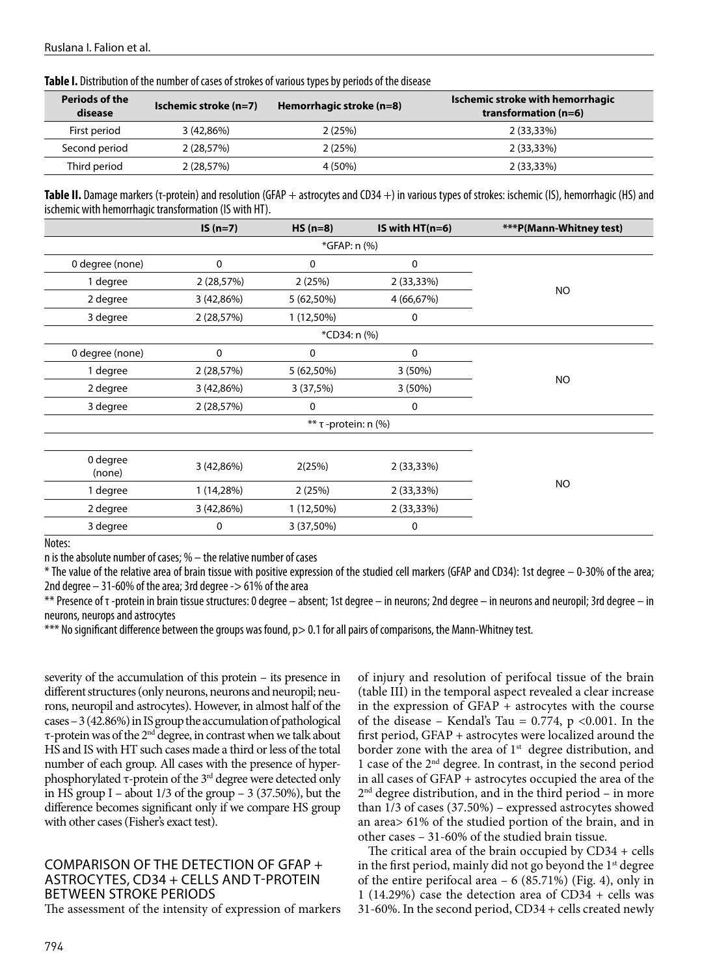| Periods of the<br>disease | Ischemic stroke (n=7) | Hemorrhagic stroke (n=8) | Ischemic stroke with hemorrhagic<br>transformation $(n=6)$ |
|---------------------------|-----------------------|--------------------------|------------------------------------------------------------|
| First period              | 3(42,86%)             | 2(25%)                   | $2(33,33\%)$                                               |
| Second period             | 2 (28,57%)            | 2(25%)                   | $2(33,33\%)$                                               |
| Third period              | 2(28,57%)             | 4 (50%)                  | $2(33,33\%)$                                               |

**Table I.** Distribution of the number of cases of strokes of various types by periods of the disease

**Table II.** Damage markers (τ-protein) and resolution (GFAP + astrocytes and CD34 +) in various types of strokes: ischemic (IS), hemorrhagic (HS) and ischemic with hemorrhagic transformation (IS with HT).

|                    | $IS(n=7)$  | $HS (n=8)$   | IS with $HT(n=6)$ | ***P(Mann-Whitney test) |  |
|--------------------|------------|--------------|-------------------|-------------------------|--|
|                    |            |              |                   |                         |  |
| 0 degree (none)    | 0          | 0            | 0                 | <b>NO</b>               |  |
| 1 degree           | 2 (28,57%) | 2(25%)       | 2 (33,33%)        |                         |  |
| 2 degree           | 3(42,86%)  | 5 (62,50%)   | 4 (66,67%)        |                         |  |
| 3 degree           | 2 (28,57%) | 1 (12,50%)   | 0                 |                         |  |
|                    |            |              |                   |                         |  |
| 0 degree (none)    | 0          | 0            | $\mathbf 0$       | <b>NO</b>               |  |
| 1 degree           | 2 (28,57%) | 5 (62,50%)   | 3(50%)            |                         |  |
| 2 degree           | 3(42,86%)  | 3(37,5%)     | 3(50%)            |                         |  |
| 3 degree           | 2(28,57%)  | 0            | 0                 |                         |  |
|                    |            |              |                   |                         |  |
|                    |            |              |                   |                         |  |
| 0 degree<br>(none) | 3 (42,86%) | 2(25%)       | 2 (33,33%)        |                         |  |
| 1 degree           | 1 (14,28%) | 2(25%)       | 2(33,33%)         | <b>NO</b>               |  |
| 2 degree           | 3(42,86%)  | $1(12,50\%)$ | 2(33,33%)         |                         |  |
| 3 degree           | 0          | 3 (37,50%)   | 0                 |                         |  |

Notes:

n is the absolute number of cases; % – the relative number of cases

\* The value of the relative area of brain tissue with positive expression of the studied cell markers (GFAP and CD34): 1st degree – 0-30% of the area; 2nd degree  $-31$ -60% of the area; 3rd degree  $-$  > 61% of the area

\*\* Presence of τ -protein in brain tissue structures: 0 degree – absent; 1st degree – in neurons; 2nd degree – in neurons and neuropil; 3rd degree – in neurons, neurops and astrocytes

\*\*\* No significant difference between the groups was found, p> 0.1 for all pairs of comparisons, the Mann-Whitney test.

severity of the accumulation of this protein – its presence in different structures (only neurons, neurons and neuropil; neurons, neuropil and astrocytes). However, in almost half of the cases – 3 (42.86%) in IS group the accumulation of pathological τ-protein was of the 2nd degree, in contrast when we talk about HS and IS with HT such cases made a third or less of the total number of each group. All cases with the presence of hyperphosphorylated τ-protein of the  $3<sup>rd</sup>$  degree were detected only in HS group I – about  $1/3$  of the group – 3 (37.50%), but the difference becomes significant only if we compare HS group with other cases (Fisher's exact test).

## COMPARISON OF THE DETECTION OF GFAP + ASTROCYTES, CD34 + CELLS AND Τ-PROTEIN BETWEEN STROKE PERIODS

The assessment of the intensity of expression of markers

of injury and resolution of perifocal tissue of the brain (table III) in the temporal aspect revealed a clear increase in the expression of GFAP + astrocytes with the course of the disease – Kendal's Tau =  $0.774$ , p < 0.001. In the first period, GFAP + astrocytes were localized around the border zone with the area of  $1<sup>st</sup>$  degree distribution, and 1 case of the 2nd degree. In contrast, in the second period in all cases of GFAP + astrocytes occupied the area of the  $2<sup>nd</sup>$  degree distribution, and in the third period – in more than 1/3 of cases (37.50%) – expressed astrocytes showed an area> 61% of the studied portion of the brain, and in other cases – 31-60% of the studied brain tissue.

The critical area of the brain occupied by CD34 + cells in the first period, mainly did not go beyond the  $1<sup>st</sup>$  degree of the entire perifocal area – 6 (85.71%) (Fig. 4), only in 1 (14.29%) case the detection area of CD34 + cells was 31-60%. In the second period, CD34 + cells created newly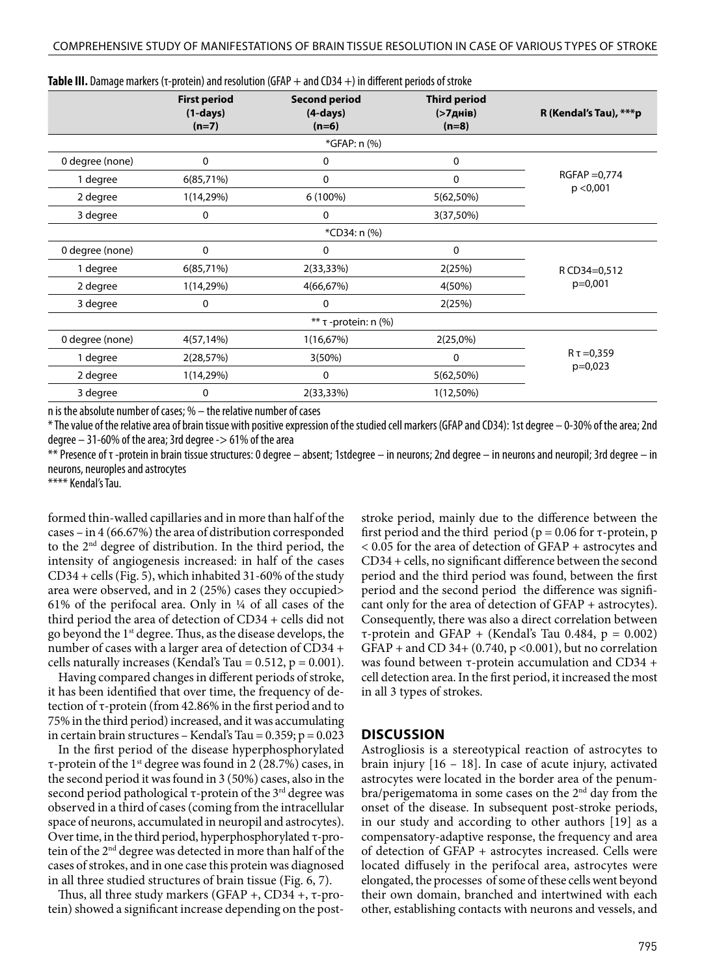|                 | <b>First period</b><br>$(1-days)$<br>$(n=7)$ | <b>Second period</b><br>$(4-days)$<br>$(n=6)$ | <b>Third period</b><br>(>7днів)<br>$(n=8)$ | R (Kendal's Tau), ***p        |  |
|-----------------|----------------------------------------------|-----------------------------------------------|--------------------------------------------|-------------------------------|--|
|                 |                                              | *GFAP: n (%)                                  |                                            |                               |  |
| 0 degree (none) | $\mathbf 0$                                  | 0                                             | 0                                          | $RGFAP = 0,774$<br>p < 0,001  |  |
| 1 degree        | 6(85,71%)                                    | 0                                             | 0                                          |                               |  |
| 2 degree        | 1(14,29%)                                    | 6 (100%)                                      | 5(62,50%)                                  |                               |  |
| 3 degree        | 0                                            | 0                                             | 3(37,50%)                                  |                               |  |
|                 |                                              | *CD34: n (%)                                  |                                            |                               |  |
| 0 degree (none) | $\mathbf 0$                                  | 0                                             | 0                                          | R CD34=0,512<br>p=0,001       |  |
| 1 degree        | 6(85,71%)                                    | 2(33,33%)                                     | 2(25%)                                     |                               |  |
| 2 degree        | 1(14,29%)                                    | 4(66,67%)                                     | 4(50%)                                     |                               |  |
| 3 degree        | 0                                            | 0                                             | 2(25%)                                     |                               |  |
|                 |                                              | ** τ -protein: n (%)                          |                                            |                               |  |
| 0 degree (none) | 4(57, 14%)                                   | 1(16,67%)                                     | 2(25,0%)                                   | $R \tau = 0,359$<br>$p=0,023$ |  |
| 1 degree        | 2(28,57%)                                    | 3(50%)                                        | 0                                          |                               |  |
| 2 degree        | 1(14,29%)                                    | 0                                             | 5(62,50%)                                  |                               |  |
| 3 degree        | 0                                            | 2(33,33%)                                     | $1(12,50\%)$                               |                               |  |

**Table III.** Damage markers (τ-protein) and resolution (GFAP + and CD34 +) in different periods of stroke

n is the absolute number of cases; % – the relative number of cases

\* The value of the relative area of brain tissue with positive expression of the studied cell markers (GFAP and CD34): 1st degree – 0-30% of the area; 2nd degree  $-31$ -60% of the area; 3rd degree  $-$  > 61% of the area

\*\* Presence of τ -protein in brain tissue structures: 0 degree – absent; 1stdegree – in neurons; 2nd degree – in neurons and neuropil; 3rd degree – in neurons, neuroples and astrocytes

\*\*\*\* Kendal's Tau.

formed thin-walled capillaries and in more than half of the cases – in 4 (66.67%) the area of distribution corresponded to the 2nd degree of distribution. In the third period, the intensity of angiogenesis increased: in half of the cases CD34 + cells (Fig. 5), which inhabited 31-60% of the study area were observed, and in 2 (25%) cases they occupied> 61% of the perifocal area. Only in ¼ of all cases of the third period the area of detection of CD34 + cells did not go beyond the 1st degree. Thus, as the disease develops, the number of cases with a larger area of detection of CD34 + cells naturally increases (Kendal's Tau =  $0.512$ ,  $p = 0.001$ ).

Having compared changes in different periods of stroke, it has been identified that over time, the frequency of detection of τ-protein (from 42.86% in the first period and to 75% in the third period) increased, and it was accumulating in certain brain structures – Kendal's Tau =  $0.359$ ; p =  $0.023$ 

In the first period of the disease hyperphosphorylated τ-protein of the 1<sup>st</sup> degree was found in 2 (28.7%) cases, in the second period it was found in 3 (50%) cases, also in the second period pathological  $\tau$ -protein of the 3<sup>rd</sup> degree was observed in a third of cases (coming from the intracellular space of neurons, accumulated in neuropil and astrocytes). Over time, in the third period, hyperphosphorylated τ-protein of the 2nd degree was detected in more than half of the cases of strokes, and in one case this protein was diagnosed in all three studied structures of brain tissue (Fig. 6, 7).

Thus, all three study markers (GFAP +, CD34 +, τ-protein) showed a significant increase depending on the poststroke period, mainly due to the difference between the first period and the third period ( $p = 0.06$  for  $\tau$ -protein, p < 0.05 for the area of detection of GFAP + astrocytes and CD34 + cells, no significant difference between the second period and the third period was found, between the first period and the second period the difference was significant only for the area of detection of GFAP + astrocytes). Consequently, there was also a direct correlation between τ-protein and GFAP + (Kendal's Tau 0.484, p = 0.002) GFAP + and CD 34+ (0.740,  $p$  <0.001), but no correlation was found between  $τ$ -protein accumulation and CD34 + cell detection area. In the first period, it increased the most in all 3 types of strokes.

#### **DISCUSSION**

Astrogliosis is a stereotypical reaction of astrocytes to brain injury [16 – 18]. In case of acute injury, activated astrocytes were located in the border area of the penumbra/perigematoma in some cases on the 2<sup>nd</sup> day from the onset of the disease. In subsequent post-stroke periods, in our study and according to other authors [19] as a compensatory-adaptive response, the frequency and area of detection of GFAP + astrocytes increased. Cells were located diffusely in the perifocal area, astrocytes were elongated, the processes of some of these cells went beyond their own domain, branched and intertwined with each other, establishing contacts with neurons and vessels, and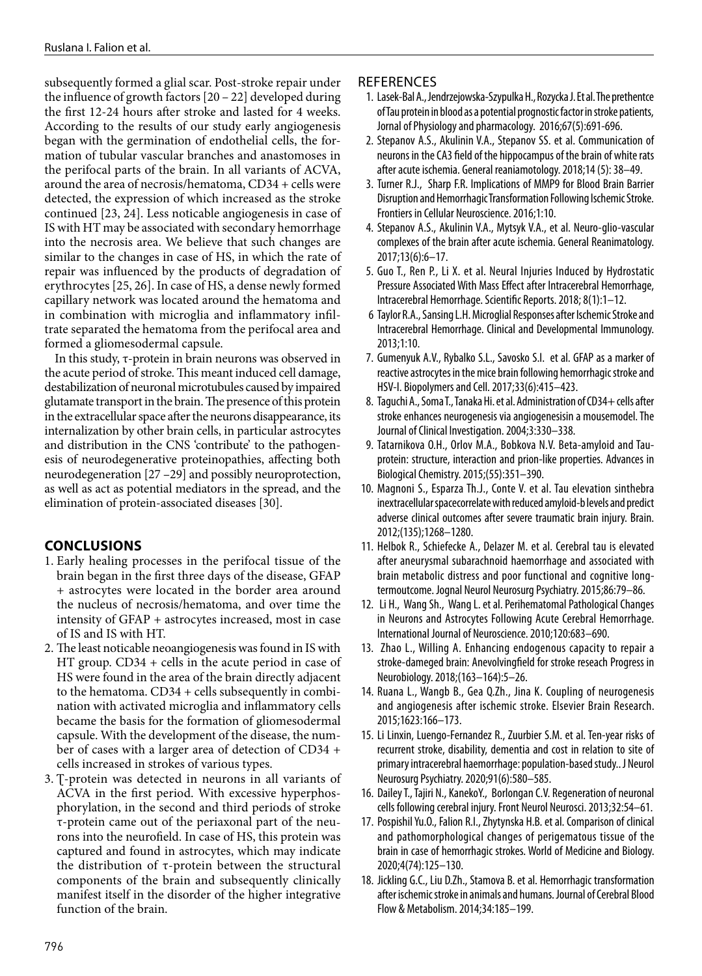subsequently formed a glial scar. Post-stroke repair under the influence of growth factors [20 – 22] developed during the first 12-24 hours after stroke and lasted for 4 weeks. According to the results of our study early angiogenesis began with the germination of endothelial cells, the formation of tubular vascular branches and anastomoses in the perifocal parts of the brain. In all variants of ACVA, around the area of necrosis/hematoma, CD34 + cells were detected, the expression of which increased as the stroke continued [23, 24]. Less noticable angiogenesis in case of IS with HT may be associated with secondary hemorrhage into the necrosis area. We believe that such changes are similar to the changes in case of HS, in which the rate of repair was influenced by the products of degradation of erythrocytes [25, 26]. In case of HS, a dense newly formed capillary network was located around the hematoma and in combination with microglia and inflammatory infiltrate separated the hematoma from the perifocal area and formed a gliomesodermal capsule.

In this study, τ-protein in brain neurons was observed in the acute period of stroke. This meant induced cell damage, destabilization of neuronal microtubules caused by impaired glutamate transport in the brain. The presence of this protein in the extracellular space after the neurons disappearance, its internalization by other brain cells, in particular astrocytes and distribution in the CNS 'contribute' to the pathogenesis of neurodegenerative proteinopathies, affecting both neurodegeneration [27 –29] and possibly neuroprotection, as well as act as potential mediators in the spread, and the elimination of protein-associated diseases [30].

## **CONCLUSIONS**

- 1. Early healing processes in the perifocal tissue of the brain began in the first three days of the disease, GFAP + astrocytes were located in the border area around the nucleus of necrosis/hematoma, and over time the intensity of GFAP + astrocytes increased, most in case of IS and IS with HT.
- 2. The least noticable neoangiogenesis was found in IS with HT group. CD34 + cells in the acute period in case of HS were found in the area of the brain directly adjacent to the hematoma. CD34 + cells subsequently in combination with activated microglia and inflammatory cells became the basis for the formation of gliomesodermal capsule. With the development of the disease, the number of cases with a larger area of detection of CD34 + cells increased in strokes of various types.
- 3. T-protein was detected in neurons in all variants of ACVA in the first period. With excessive hyperphosphorylation, in the second and third periods of stroke τ-protein came out of the periaxonal part of the neurons into the neurofield. In case of HS, this protein was captured and found in astrocytes, which may indicate the distribution of τ-protein between the structural components of the brain and subsequently clinically manifest itself in the disorder of the higher integrative function of the brain.

### **REFERENCES**

- 1. Lasek-Bal A., Jendrzejowska-Szypulka H., Rozycka J. Et al. The prethentce of Tau protein in blood as a potential prognostic factor in stroke patients, Jornal of Physiology and pharmacology. 2016;67(5):691-696.
- 2. Stepanov A.S., Akulinin V.A., Stepanov SS. et al. Communication of neurons in the CA3 field of the hippocampus of the brain of white rats after acute ischemia. General reaniamotology. 2018;14 (5): 38–49.
- 3. Turner R.J., Sharp F.R. Implications of MMP9 for Blood Brain Barrier Disruption and Hemorrhagic Transformation Following Ischemic Stroke. Frontiers in Cellular Neuroscience. 2016;1:10.
- 4. Stepanov A.S., Akulinin V.A., Mytsyk V.A., et al. Neuro-glio-vascular complexes of the brain after acute ischemia. General Reanimatology. 2017;13(6):6–17.
- 5. Guo T., Ren P., Li X. et al. Neural Injuries Induced by Hydrostatic Pressure Associated With Mass Effect after Intracerebral Hemorrhage, Intracerebral Hemorrhage. Scientific Reports. 2018; 8(1):1–12.
- 6 Taylor R.A., Sansing L.H. Microglial Responses after Ischemic Stroke and Intracerebral Hemorrhage. Clinical and Developmental Immunology. 2013;1:10.
- 7. Gumenyuk A.V., Rybalko S.L., Savosko S.I. et al. GFAP as a marker of reactive astrocytes in the mice brain following hemorrhagic stroke and HSV-I. Biopolymers and Cell. 2017;33(6):415–423.
- 8. Taguchi A., Soma T., Tanaka Hi. et al. Administration of CD34+ cells after stroke enhances neurogenesis via angiogenesisin a mousemodel. The Journal of Clinical Investigation. 2004;3:330–338.
- 9. Tatarnikova O.H., Orlov M.A., Bobkova N.V. Beta-amyloid and Tauprotein: structure, interaction and prion-like properties. Advances in Biological Chemistry. 2015;(55):351–390.
- 10. Magnoni S., Esparza Th.J., Conte V. et al. Tau elevation sinthebra inextracellular spacecorrelate with reduced amyloid-b levels and predict adverse clinical outcomes after severe traumatic brain injury. Brain. 2012;(135);1268–1280.
- 11. Helbok R., Schiefecke A., Delazer M. et al. Cerebral tau is elevated after aneurysmal subarachnoid haemorrhage and associated with brain metabolic distress and poor functional and cognitive longtermoutcome. Jognal Neurol Neurosurg Psychiatry. 2015;86:79–86.
- 12. Li H., Wang Sh., Wang L. et al. Perihematomal Pathological Changes in Neurons and Astrocytes Following Acute Cerebral Hemorrhage. International Journal of Neuroscience. 2010;120:683–690.
- 13. Zhao L., Willing A. Enhancing endogenous capacity to repair a stroke-dameged brain: Anevolvingfield for stroke reseach Progress in Neurobiology. 2018;(163–164):5–26.
- 14. Ruana L., Wangb B., Gea Q.Zh., Jina K. Coupling of neurogenesis and angiogenesis after ischemic stroke. Elsevier Brain Research. 2015;1623:166–173.
- 15. Li Linxin, Luengo-Fernandez R., Zuurbier S.M. et al. Ten-year risks of recurrent stroke, disability, dementia and cost in relation to site of primary intracerebral haemorrhage: population-based study.. J Neurol Neurosurg Psychiatry. 2020;91(6):580–585.
- 16. Dailey T., Tajiri N., KanekoY., Borlongan C.V. Regeneration of neuronal cells following cerebral injury. Front Neurol Neurosci. 2013;32:54–61.
- 17. Pospishil Yu.O., Falion R.I., Zhytynska H.B. et al. Comparison of clinical and pathomorphological changes of perigematous tissue of the brain in case of hemorrhagic strokes. World of Medicine and Biology. 2020;4(74):125–130.
- 18. Jickling G.C., Liu D.Zh., Stamova B. et al. Hemorrhagic transformation after ischemic stroke in animals and humans. Journal of Cerebral Blood Flow & Metabolism. 2014;34:185–199.